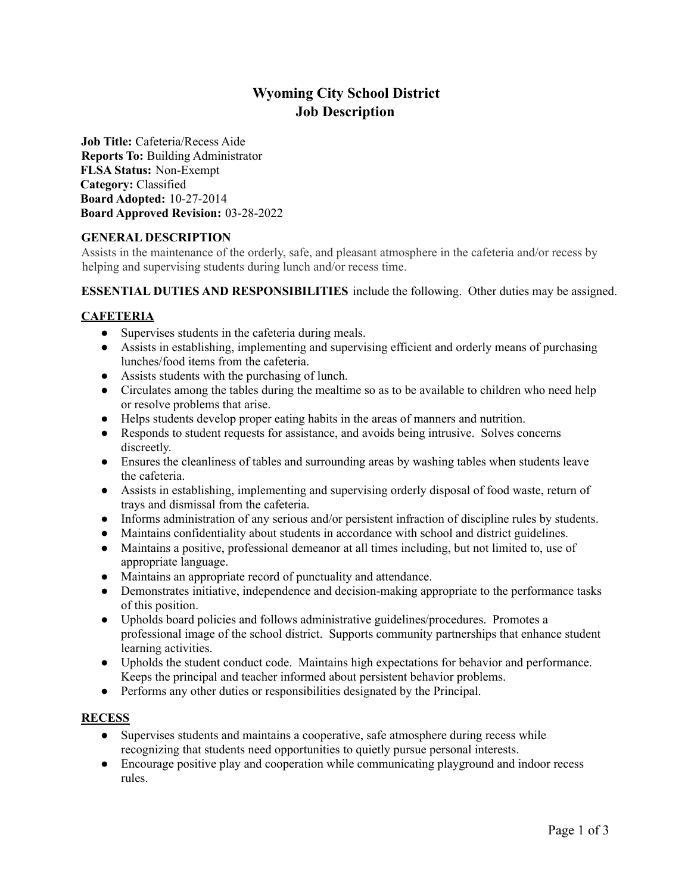# **Wyoming City School District Job Description**

**Job Title:** Cafeteria/Recess Aide **Reports To:** Building Administrator **FLSA Status:** Non-Exempt **Category:** Classified **Board Adopted:** 10-27-2014 **Board Approved Revision:** 03-28-2022

# **GENERAL DESCRIPTION**

Assists in the maintenance of the orderly, safe, and pleasant atmosphere in the cafeteria and/or recess by helping and supervising students during lunch and/or recess time.

# **ESSENTIAL DUTIES AND RESPONSIBILITIES** include the following. Other duties may be assigned.

# **CAFETERIA**

- Supervises students in the cafeteria during meals.
- Assists in establishing, implementing and supervising efficient and orderly means of purchasing lunches/food items from the cafeteria.
- Assists students with the purchasing of lunch.
- Circulates among the tables during the mealtime so as to be available to children who need help or resolve problems that arise.
- Helps students develop proper eating habits in the areas of manners and nutrition.
- Responds to student requests for assistance, and avoids being intrusive. Solves concerns discreetly.
- Ensures the cleanliness of tables and surrounding areas by washing tables when students leave the cafeteria.
- Assists in establishing, implementing and supervising orderly disposal of food waste, return of trays and dismissal from the cafeteria.
- Informs administration of any serious and/or persistent infraction of discipline rules by students.
- Maintains confidentiality about students in accordance with school and district guidelines.
- Maintains a positive, professional demeanor at all times including, but not limited to, use of appropriate language.
- Maintains an appropriate record of punctuality and attendance.
- Demonstrates initiative, independence and decision-making appropriate to the performance tasks of this position.
- Upholds board policies and follows administrative guidelines/procedures. Promotes a professional image of the school district. Supports community partnerships that enhance student learning activities.
- Upholds the student conduct code. Maintains high expectations for behavior and performance. Keeps the principal and teacher informed about persistent behavior problems.
- Performs any other duties or responsibilities designated by the Principal.

## **RECESS**

- Supervises students and maintains a cooperative, safe atmosphere during recess while recognizing that students need opportunities to quietly pursue personal interests.
- Encourage positive play and cooperation while communicating playground and indoor recess rules.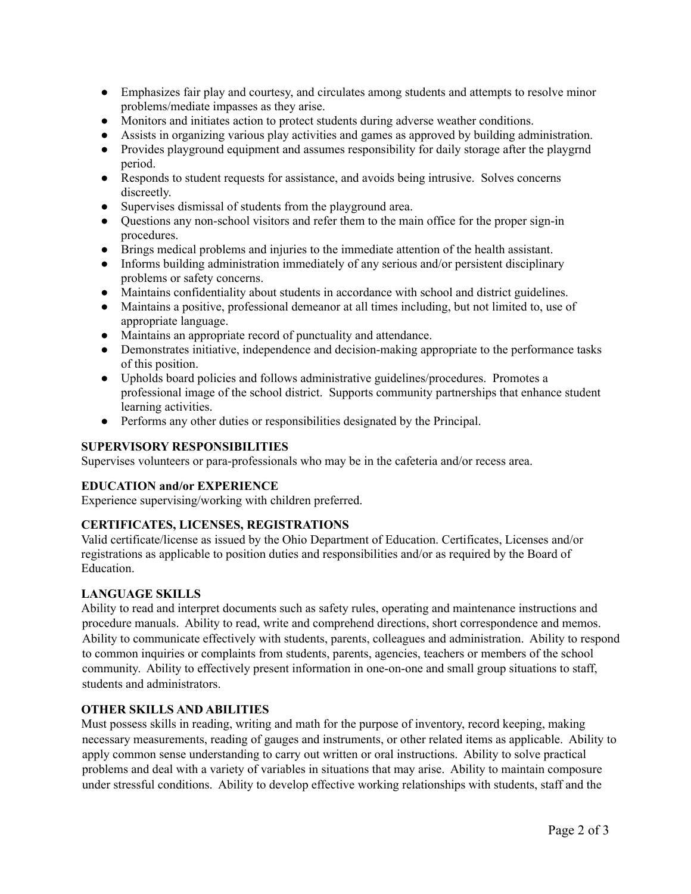- Emphasizes fair play and courtesy, and circulates among students and attempts to resolve minor problems/mediate impasses as they arise.
- Monitors and initiates action to protect students during adverse weather conditions.
- Assists in organizing various play activities and games as approved by building administration.
- Provides playground equipment and assumes responsibility for daily storage after the playgrnd period.
- Responds to student requests for assistance, and avoids being intrusive. Solves concerns discreetly.
- Supervises dismissal of students from the playground area.
- Questions any non-school visitors and refer them to the main office for the proper sign-in procedures.
- Brings medical problems and injuries to the immediate attention of the health assistant.
- Informs building administration immediately of any serious and/or persistent disciplinary problems or safety concerns.
- Maintains confidentiality about students in accordance with school and district guidelines.
- Maintains a positive, professional demeanor at all times including, but not limited to, use of appropriate language.
- Maintains an appropriate record of punctuality and attendance.
- Demonstrates initiative, independence and decision-making appropriate to the performance tasks of this position.
- Upholds board policies and follows administrative guidelines/procedures. Promotes a professional image of the school district. Supports community partnerships that enhance student learning activities.
- Performs any other duties or responsibilities designated by the Principal.

### **SUPERVISORY RESPONSIBILITIES**

Supervises volunteers or para-professionals who may be in the cafeteria and/or recess area.

#### **EDUCATION and/or EXPERIENCE**

Experience supervising/working with children preferred.

## **CERTIFICATES, LICENSES, REGISTRATIONS**

Valid certificate/license as issued by the Ohio Department of Education. Certificates, Licenses and/or registrations as applicable to position duties and responsibilities and/or as required by the Board of **Education** 

## **LANGUAGE SKILLS**

Ability to read and interpret documents such as safety rules, operating and maintenance instructions and procedure manuals. Ability to read, write and comprehend directions, short correspondence and memos. Ability to communicate effectively with students, parents, colleagues and administration. Ability to respond to common inquiries or complaints from students, parents, agencies, teachers or members of the school community. Ability to effectively present information in one-on-one and small group situations to staff, students and administrators.

#### **OTHER SKILLS AND ABILITIES**

Must possess skills in reading, writing and math for the purpose of inventory, record keeping, making necessary measurements, reading of gauges and instruments, or other related items as applicable. Ability to apply common sense understanding to carry out written or oral instructions. Ability to solve practical problems and deal with a variety of variables in situations that may arise. Ability to maintain composure under stressful conditions. Ability to develop effective working relationships with students, staff and the